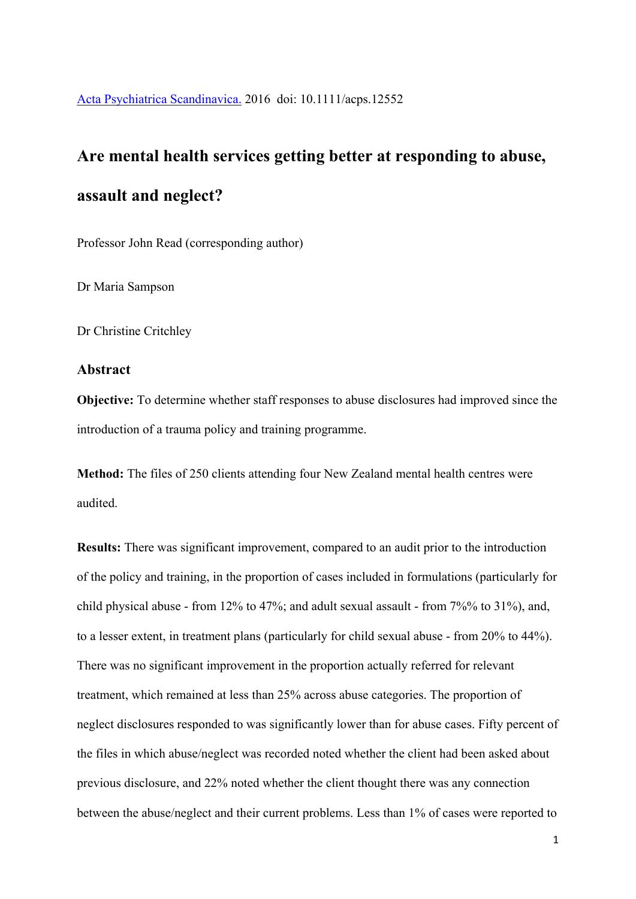# **Are mental health services getting better at responding to abuse, assault and neglect?**

Professor John Read (corresponding author)

Dr Maria Sampson

Dr Christine Critchley

# **Abstract**

**Objective:** To determine whether staff responses to abuse disclosures had improved since the introduction of a trauma policy and training programme.

**Method:** The files of 250 clients attending four New Zealand mental health centres were audited.

**Results:** There was significant improvement, compared to an audit prior to the introduction of the policy and training, in the proportion of cases included in formulations (particularly for child physical abuse - from 12% to 47%; and adult sexual assault - from 7%% to 31%), and, to a lesser extent, in treatment plans (particularly for child sexual abuse - from 20% to 44%). There was no significant improvement in the proportion actually referred for relevant treatment, which remained at less than 25% across abuse categories. The proportion of neglect disclosures responded to was significantly lower than for abuse cases. Fifty percent of the files in which abuse/neglect was recorded noted whether the client had been asked about previous disclosure, and 22% noted whether the client thought there was any connection between the abuse/neglect and their current problems. Less than 1% of cases were reported to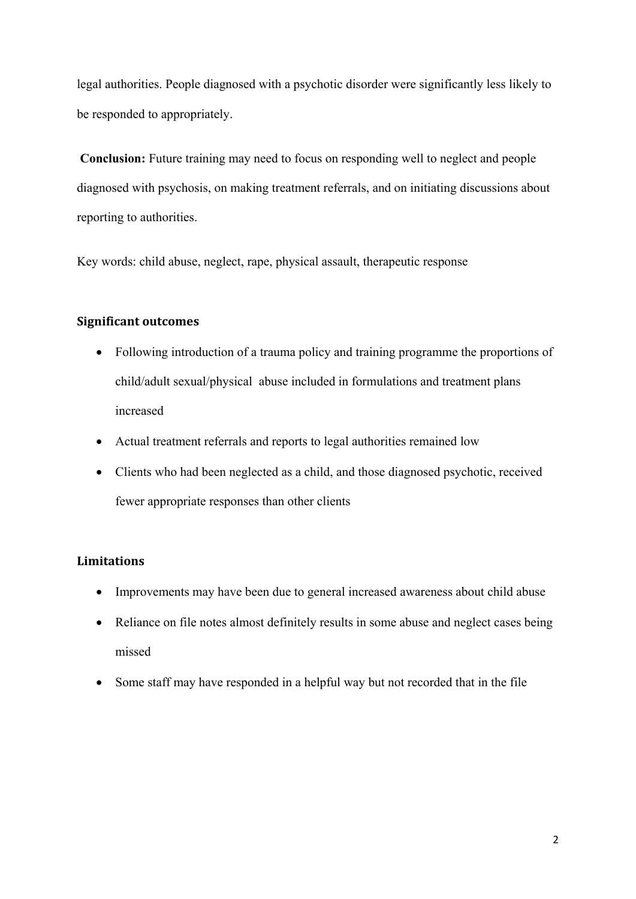legal authorities. People diagnosed with a psychotic disorder were significantly less likely to be responded to appropriately.

**Conclusion:** Future training may need to focus on responding well to neglect and people diagnosed with psychosis, on making treatment referrals, and on initiating discussions about reporting to authorities.

Key words: child abuse, neglect, rape, physical assault, therapeutic response

# **Significant outcomes**

- Following introduction of a trauma policy and training programme the proportions of child/adult sexual/physical abuse included in formulations and treatment plans increased
- Actual treatment referrals and reports to legal authorities remained low
- Clients who had been neglected as a child, and those diagnosed psychotic, received fewer appropriate responses than other clients

# **Limitations**

- Improvements may have been due to general increased awareness about child abuse
- Reliance on file notes almost definitely results in some abuse and neglect cases being missed
- Some staff may have responded in a helpful way but not recorded that in the file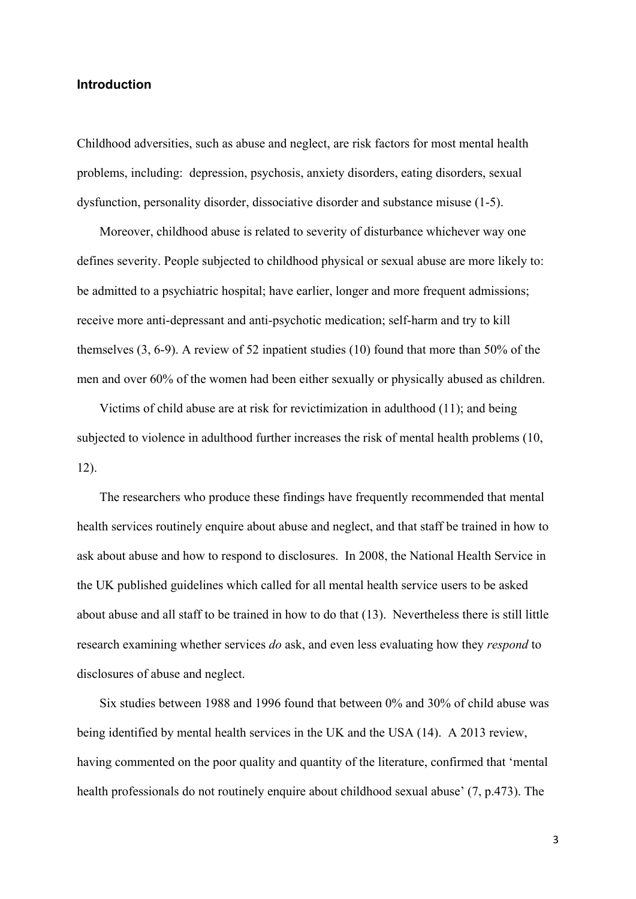# **Introduction**

Childhood adversities, such as abuse and neglect, are risk factors for most mental health problems, including: depression, psychosis, anxiety disorders, eating disorders, sexual dysfunction, personality disorder, dissociative disorder and substance misuse (1-5).

Moreover, childhood abuse is related to severity of disturbance whichever way one defines severity. People subjected to childhood physical or sexual abuse are more likely to: be admitted to a psychiatric hospital; have earlier, longer and more frequent admissions; receive more anti-depressant and anti-psychotic medication; self-harm and try to kill themselves (3, 6-9). A review of 52 inpatient studies (10) found that more than 50% of the men and over 60% of the women had been either sexually or physically abused as children.

Victims of child abuse are at risk for revictimization in adulthood (11); and being subjected to violence in adulthood further increases the risk of mental health problems (10, 12).

The researchers who produce these findings have frequently recommended that mental health services routinely enquire about abuse and neglect, and that staff be trained in how to ask about abuse and how to respond to disclosures. In 2008, the National Health Service in the UK published guidelines which called for all mental health service users to be asked about abuse and all staff to be trained in how to do that (13). Nevertheless there is still little research examining whether services *do* ask, and even less evaluating how they *respond* to disclosures of abuse and neglect.

Six studies between 1988 and 1996 found that between 0% and 30% of child abuse was being identified by mental health services in the UK and the USA (14). A 2013 review, having commented on the poor quality and quantity of the literature, confirmed that 'mental health professionals do not routinely enquire about childhood sexual abuse' (7, p.473). The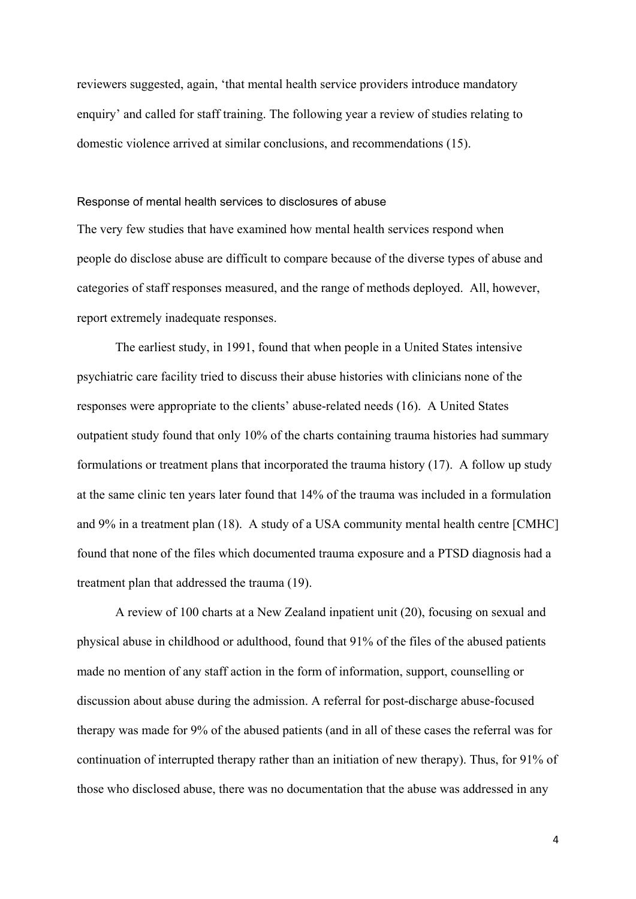reviewers suggested, again, 'that mental health service providers introduce mandatory enquiry' and called for staff training. The following year a review of studies relating to domestic violence arrived at similar conclusions, and recommendations (15).

#### Response of mental health services to disclosures of abuse

The very few studies that have examined how mental health services respond when people do disclose abuse are difficult to compare because of the diverse types of abuse and categories of staff responses measured, and the range of methods deployed. All, however, report extremely inadequate responses.

The earliest study, in 1991, found that when people in a United States intensive psychiatric care facility tried to discuss their abuse histories with clinicians none of the responses were appropriate to the clients' abuse-related needs (16). A United States outpatient study found that only 10% of the charts containing trauma histories had summary formulations or treatment plans that incorporated the trauma history (17). A follow up study at the same clinic ten years later found that 14% of the trauma was included in a formulation and 9% in a treatment plan (18). A study of a USA community mental health centre [CMHC] found that none of the files which documented trauma exposure and a PTSD diagnosis had a treatment plan that addressed the trauma (19).

A review of 100 charts at a New Zealand inpatient unit (20), focusing on sexual and physical abuse in childhood or adulthood, found that 91% of the files of the abused patients made no mention of any staff action in the form of information, support, counselling or discussion about abuse during the admission. A referral for post-discharge abuse-focused therapy was made for 9% of the abused patients (and in all of these cases the referral was for continuation of interrupted therapy rather than an initiation of new therapy). Thus, for 91% of those who disclosed abuse, there was no documentation that the abuse was addressed in any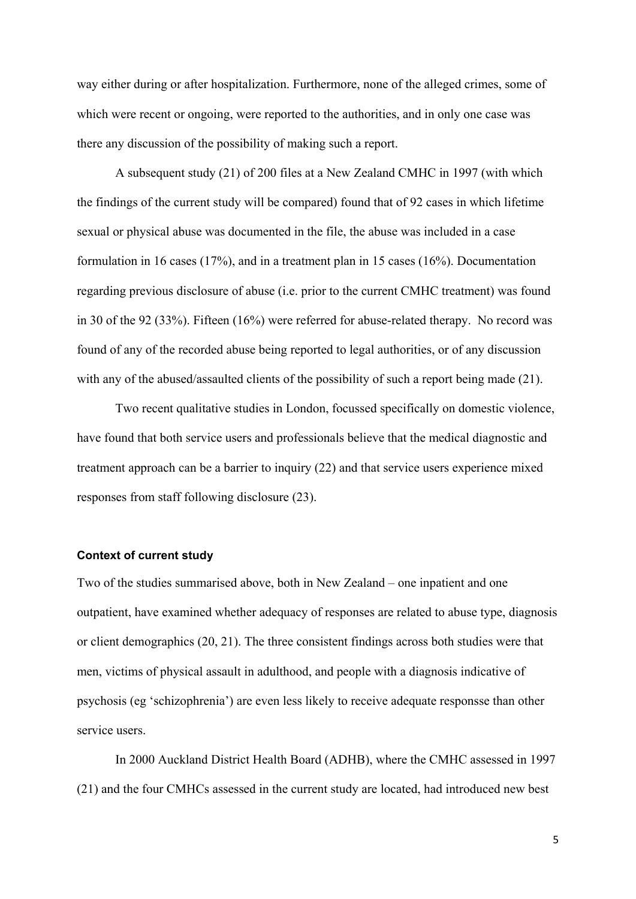way either during or after hospitalization. Furthermore, none of the alleged crimes, some of which were recent or ongoing, were reported to the authorities, and in only one case was there any discussion of the possibility of making such a report.

 A subsequent study (21) of 200 files at a New Zealand CMHC in 1997 (with which the findings of the current study will be compared) found that of 92 cases in which lifetime sexual or physical abuse was documented in the file, the abuse was included in a case formulation in 16 cases (17%), and in a treatment plan in 15 cases (16%). Documentation regarding previous disclosure of abuse (i.e. prior to the current CMHC treatment) was found in 30 of the 92 (33%). Fifteen (16%) were referred for abuse-related therapy. No record was found of any of the recorded abuse being reported to legal authorities, or of any discussion with any of the abused/assaulted clients of the possibility of such a report being made (21).

 Two recent qualitative studies in London, focussed specifically on domestic violence, have found that both service users and professionals believe that the medical diagnostic and treatment approach can be a barrier to inquiry (22) and that service users experience mixed responses from staff following disclosure (23).

# **Context of current study**

Two of the studies summarised above, both in New Zealand – one inpatient and one outpatient, have examined whether adequacy of responses are related to abuse type, diagnosis or client demographics (20, 21). The three consistent findings across both studies were that men, victims of physical assault in adulthood, and people with a diagnosis indicative of psychosis (eg 'schizophrenia') are even less likely to receive adequate responsse than other service users.

In 2000 Auckland District Health Board (ADHB), where the CMHC assessed in 1997 (21) and the four CMHCs assessed in the current study are located, had introduced new best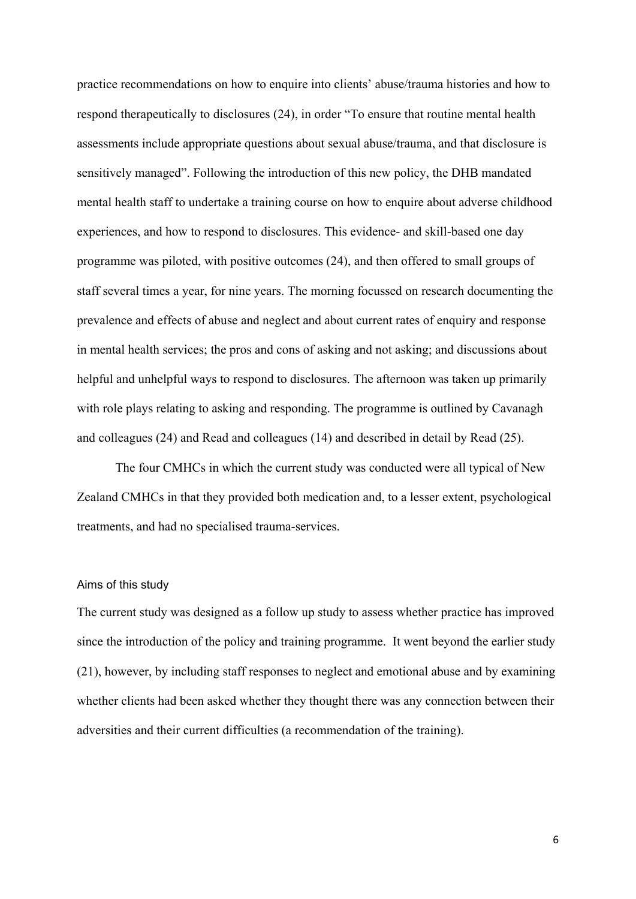practice recommendations on how to enquire into clients' abuse/trauma histories and how to respond therapeutically to disclosures (24), in order "To ensure that routine mental health assessments include appropriate questions about sexual abuse/trauma, and that disclosure is sensitively managed". Following the introduction of this new policy, the DHB mandated mental health staff to undertake a training course on how to enquire about adverse childhood experiences, and how to respond to disclosures. This evidence- and skill-based one day programme was piloted, with positive outcomes (24), and then offered to small groups of staff several times a year, for nine years. The morning focussed on research documenting the prevalence and effects of abuse and neglect and about current rates of enquiry and response in mental health services; the pros and cons of asking and not asking; and discussions about helpful and unhelpful ways to respond to disclosures. The afternoon was taken up primarily with role plays relating to asking and responding. The programme is outlined by Cavanagh and colleagues (24) and Read and colleagues (14) and described in detail by Read (25).

The four CMHCs in which the current study was conducted were all typical of New Zealand CMHCs in that they provided both medication and, to a lesser extent, psychological treatments, and had no specialised trauma-services.

## Aims of this study

The current study was designed as a follow up study to assess whether practice has improved since the introduction of the policy and training programme. It went beyond the earlier study (21), however, by including staff responses to neglect and emotional abuse and by examining whether clients had been asked whether they thought there was any connection between their adversities and their current difficulties (a recommendation of the training).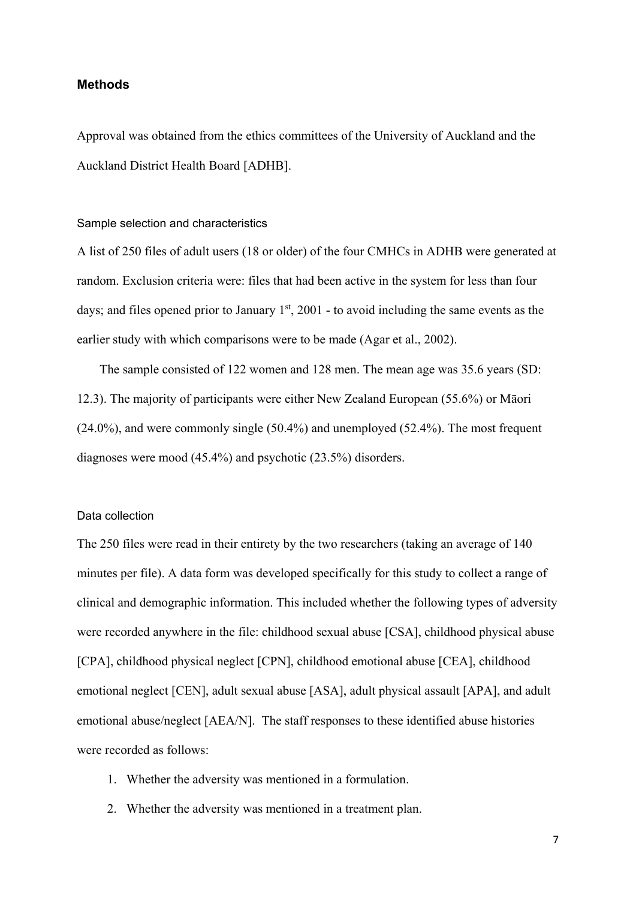#### **Methods**

Approval was obtained from the ethics committees of the University of Auckland and the Auckland District Health Board [ADHB].

## Sample selection and characteristics

A list of 250 files of adult users (18 or older) of the four CMHCs in ADHB were generated at random. Exclusion criteria were: files that had been active in the system for less than four days; and files opened prior to January  $1<sup>st</sup>$ , 2001 - to avoid including the same events as the earlier study with which comparisons were to be made (Agar et al., 2002).

The sample consisted of 122 women and 128 men. The mean age was 35.6 years (SD: 12.3). The majority of participants were either New Zealand European (55.6%) or Māori (24.0%), and were commonly single (50.4%) and unemployed (52.4%). The most frequent diagnoses were mood (45.4%) and psychotic (23.5%) disorders.

#### Data collection

The 250 files were read in their entirety by the two researchers (taking an average of 140 minutes per file). A data form was developed specifically for this study to collect a range of clinical and demographic information. This included whether the following types of adversity were recorded anywhere in the file: childhood sexual abuse [CSA], childhood physical abuse [CPA], childhood physical neglect [CPN], childhood emotional abuse [CEA], childhood emotional neglect [CEN], adult sexual abuse [ASA], adult physical assault [APA], and adult emotional abuse/neglect [AEA/N]. The staff responses to these identified abuse histories were recorded as follows:

- 1. Whether the adversity was mentioned in a formulation.
- 2. Whether the adversity was mentioned in a treatment plan.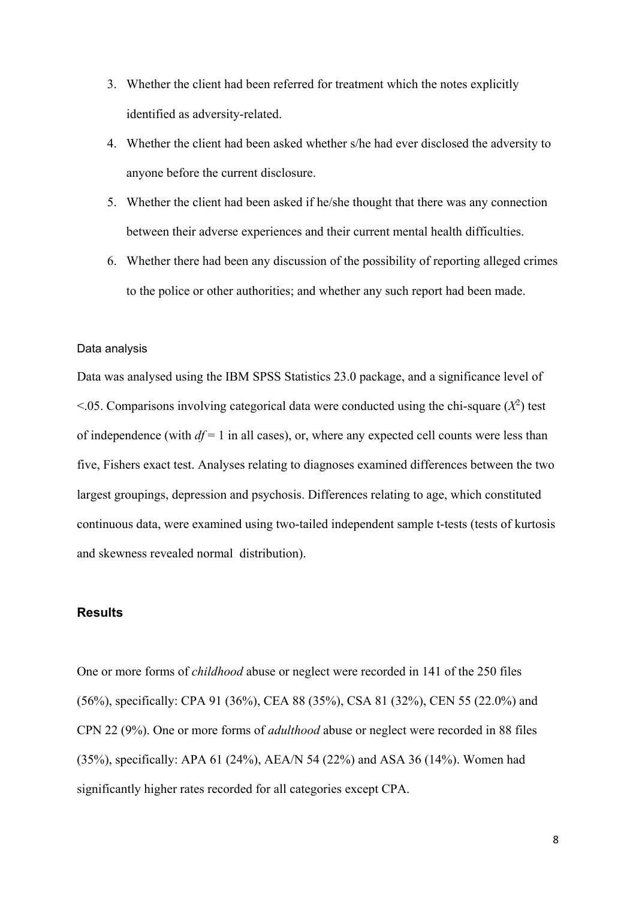- 3. Whether the client had been referred for treatment which the notes explicitly identified as adversity-related.
- 4. Whether the client had been asked whether s/he had ever disclosed the adversity to anyone before the current disclosure.
- 5. Whether the client had been asked if he/she thought that there was any connection between their adverse experiences and their current mental health difficulties.
- 6. Whether there had been any discussion of the possibility of reporting alleged crimes to the police or other authorities; and whether any such report had been made.

# Data analysis

Data was analysed using the IBM SPSS Statistics 23.0 package, and a significance level of  $\leq$ .05. Comparisons involving categorical data were conducted using the chi-square  $(X^2)$  test of independence (with  $df = 1$  in all cases), or, where any expected cell counts were less than five, Fishers exact test. Analyses relating to diagnoses examined differences between the two largest groupings, depression and psychosis. Differences relating to age, which constituted continuous data, were examined using two-tailed independent sample t-tests (tests of kurtosis and skewness revealed normal distribution).

#### **Results**

One or more forms of *childhood* abuse or neglect were recorded in 141 of the 250 files (56%), specifically: CPA 91 (36%), CEA 88 (35%), CSA 81 (32%), CEN 55 (22.0%) and CPN 22 (9%). One or more forms of *adulthood* abuse or neglect were recorded in 88 files (35%), specifically: APA 61 (24%), AEA/N 54 (22%) and ASA 36 (14%). Women had significantly higher rates recorded for all categories except CPA.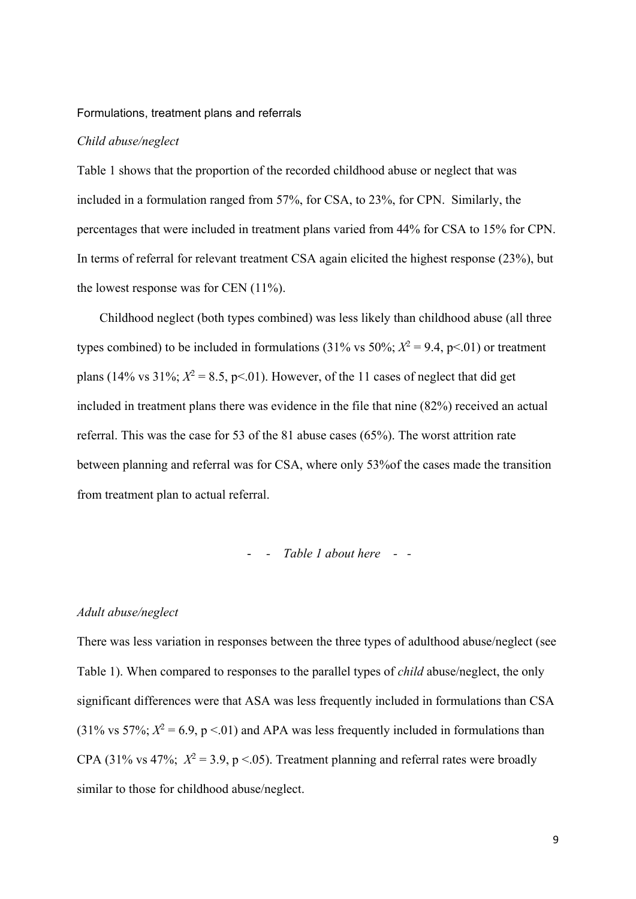#### Formulations, treatment plans and referrals

#### *Child abuse/neglect*

Table 1 shows that the proportion of the recorded childhood abuse or neglect that was included in a formulation ranged from 57%, for CSA, to 23%, for CPN. Similarly, the percentages that were included in treatment plans varied from 44% for CSA to 15% for CPN. In terms of referral for relevant treatment CSA again elicited the highest response (23%), but the lowest response was for CEN (11%).

Childhood neglect (both types combined) was less likely than childhood abuse (all three types combined) to be included in formulations  $(31\% \text{ vs } 50\%; X^2 = 9.4, p < 0.01)$  or treatment plans (14% vs  $31\%$ ;  $X^2 = 8.5$ , p<.01). However, of the 11 cases of neglect that did get included in treatment plans there was evidence in the file that nine (82%) received an actual referral. This was the case for 53 of the 81 abuse cases (65%). The worst attrition rate between planning and referral was for CSA, where only 53%of the cases made the transition from treatment plan to actual referral.

#### - *- Table 1 about here - -*

#### *Adult abuse/neglect*

There was less variation in responses between the three types of adulthood abuse/neglect (see Table 1). When compared to responses to the parallel types of *child* abuse/neglect, the only significant differences were that ASA was less frequently included in formulations than CSA (31% vs 57%;  $X^2 = 6.9$ , p <.01) and APA was less frequently included in formulations than CPA (31% vs 47%;  $X^2 = 3.9$ , p < 05). Treatment planning and referral rates were broadly similar to those for childhood abuse/neglect.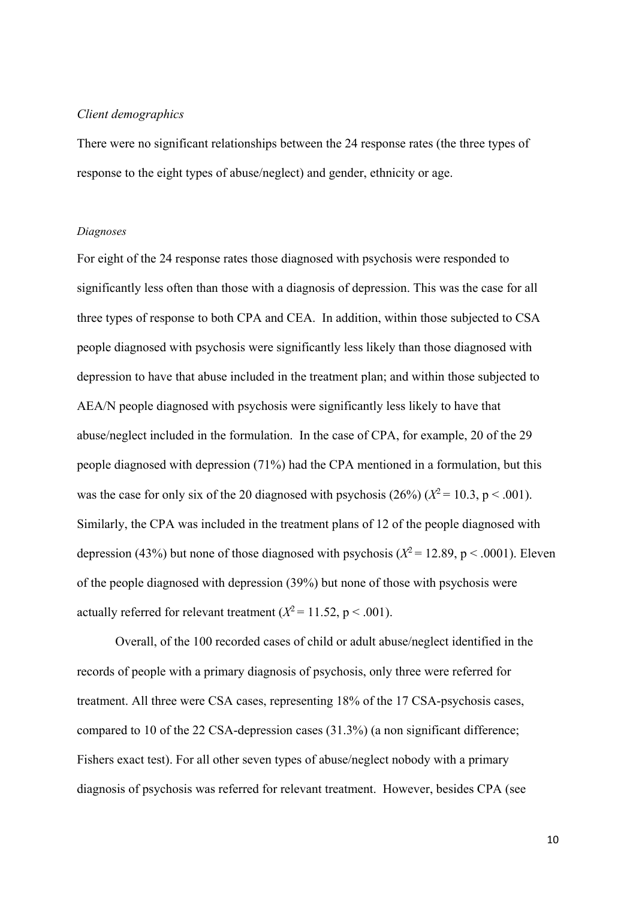#### *Client demographics*

There were no significant relationships between the 24 response rates (the three types of response to the eight types of abuse/neglect) and gender, ethnicity or age.

## *Diagnoses*

For eight of the 24 response rates those diagnosed with psychosis were responded to significantly less often than those with a diagnosis of depression. This was the case for all three types of response to both CPA and CEA. In addition, within those subjected to CSA people diagnosed with psychosis were significantly less likely than those diagnosed with depression to have that abuse included in the treatment plan; and within those subjected to AEA/N people diagnosed with psychosis were significantly less likely to have that abuse/neglect included in the formulation. In the case of CPA, for example, 20 of the 29 people diagnosed with depression (71%) had the CPA mentioned in a formulation, but this was the case for only six of the 20 diagnosed with psychosis  $(26\%) (X^2 = 10.3, p < .001)$ . Similarly, the CPA was included in the treatment plans of 12 of the people diagnosed with depression (43%) but none of those diagnosed with psychosis ( $X^2 = 12.89$ , p < .0001). Eleven of the people diagnosed with depression (39%) but none of those with psychosis were actually referred for relevant treatment  $(X^2 = 11.52, p < .001)$ .

 Overall, of the 100 recorded cases of child or adult abuse/neglect identified in the records of people with a primary diagnosis of psychosis, only three were referred for treatment. All three were CSA cases, representing 18% of the 17 CSA-psychosis cases, compared to 10 of the 22 CSA-depression cases (31.3%) (a non significant difference; Fishers exact test). For all other seven types of abuse/neglect nobody with a primary diagnosis of psychosis was referred for relevant treatment. However, besides CPA (see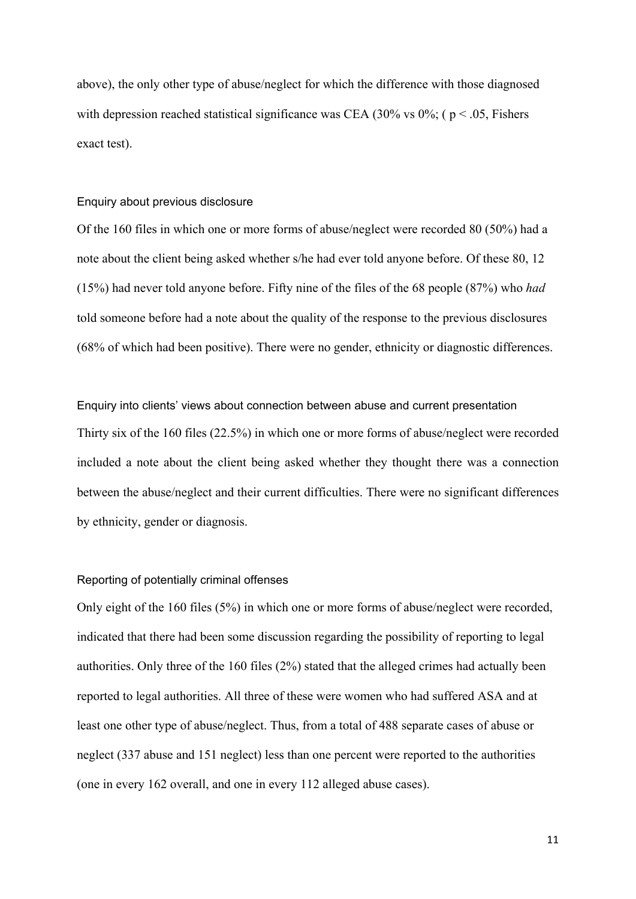above), the only other type of abuse/neglect for which the difference with those diagnosed with depression reached statistical significance was CEA (30% vs 0%; ( $p < .05$ , Fishers exact test).

#### Enquiry about previous disclosure

Of the 160 files in which one or more forms of abuse/neglect were recorded 80 (50%) had a note about the client being asked whether s/he had ever told anyone before. Of these 80, 12 (15%) had never told anyone before. Fifty nine of the files of the 68 people (87%) who *had* told someone before had a note about the quality of the response to the previous disclosures (68% of which had been positive). There were no gender, ethnicity or diagnostic differences.

Enquiry into clients' views about connection between abuse and current presentation Thirty six of the 160 files (22.5%) in which one or more forms of abuse/neglect were recorded included a note about the client being asked whether they thought there was a connection between the abuse/neglect and their current difficulties. There were no significant differences by ethnicity, gender or diagnosis.

## Reporting of potentially criminal offenses

Only eight of the 160 files (5%) in which one or more forms of abuse/neglect were recorded, indicated that there had been some discussion regarding the possibility of reporting to legal authorities. Only three of the 160 files (2%) stated that the alleged crimes had actually been reported to legal authorities. All three of these were women who had suffered ASA and at least one other type of abuse/neglect. Thus, from a total of 488 separate cases of abuse or neglect (337 abuse and 151 neglect) less than one percent were reported to the authorities (one in every 162 overall, and one in every 112 alleged abuse cases).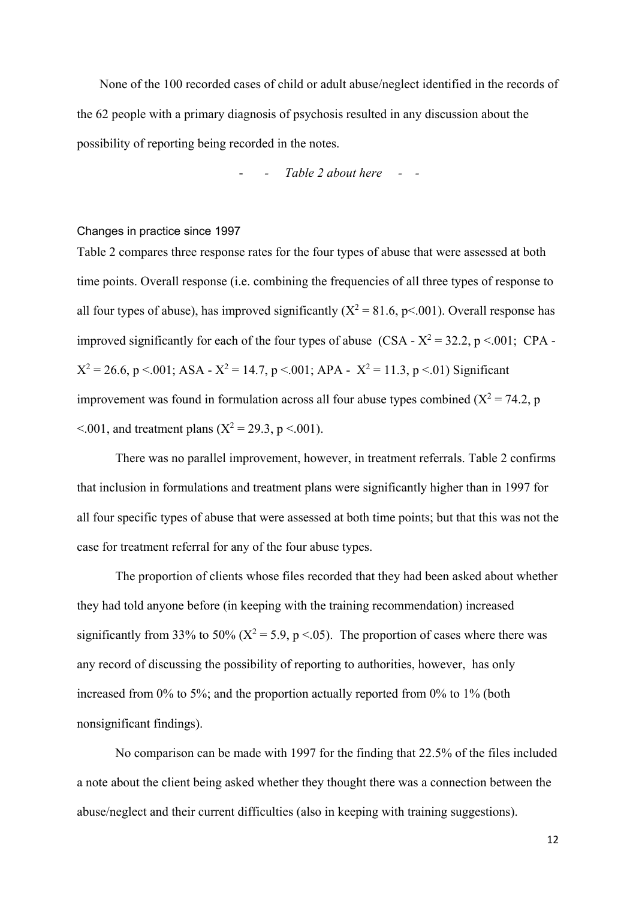None of the 100 recorded cases of child or adult abuse/neglect identified in the records of the 62 people with a primary diagnosis of psychosis resulted in any discussion about the possibility of reporting being recorded in the notes.

- *- Table 2 about here - -* 

Changes in practice since 1997

Table 2 compares three response rates for the four types of abuse that were assessed at both time points. Overall response (i.e. combining the frequencies of all three types of response to all four types of abuse), has improved significantly ( $X^2 = 81.6$ , p<.001). Overall response has improved significantly for each of the four types of abuse  $(CSA - X^2 = 32.2, p < 0.01$ ; CPA - $X^2 = 26.6$ , p <.001; ASA -  $X^2 = 14.7$ , p <.001; APA -  $X^2 = 11.3$ , p <.01) Significant improvement was found in formulation across all four abuse types combined ( $X^2 = 74.2$ , p  $\leq$  0.01, and treatment plans (X<sup>2</sup> = 29.3, p  $\leq$  0.01).

There was no parallel improvement, however, in treatment referrals. Table 2 confirms that inclusion in formulations and treatment plans were significantly higher than in 1997 for all four specific types of abuse that were assessed at both time points; but that this was not the case for treatment referral for any of the four abuse types.

The proportion of clients whose files recorded that they had been asked about whether they had told anyone before (in keeping with the training recommendation) increased significantly from 33% to 50% ( $X^2 = 5.9$ , p <.05). The proportion of cases where there was any record of discussing the possibility of reporting to authorities, however, has only increased from 0% to 5%; and the proportion actually reported from 0% to 1% (both nonsignificant findings).

No comparison can be made with 1997 for the finding that 22.5% of the files included a note about the client being asked whether they thought there was a connection between the abuse/neglect and their current difficulties (also in keeping with training suggestions).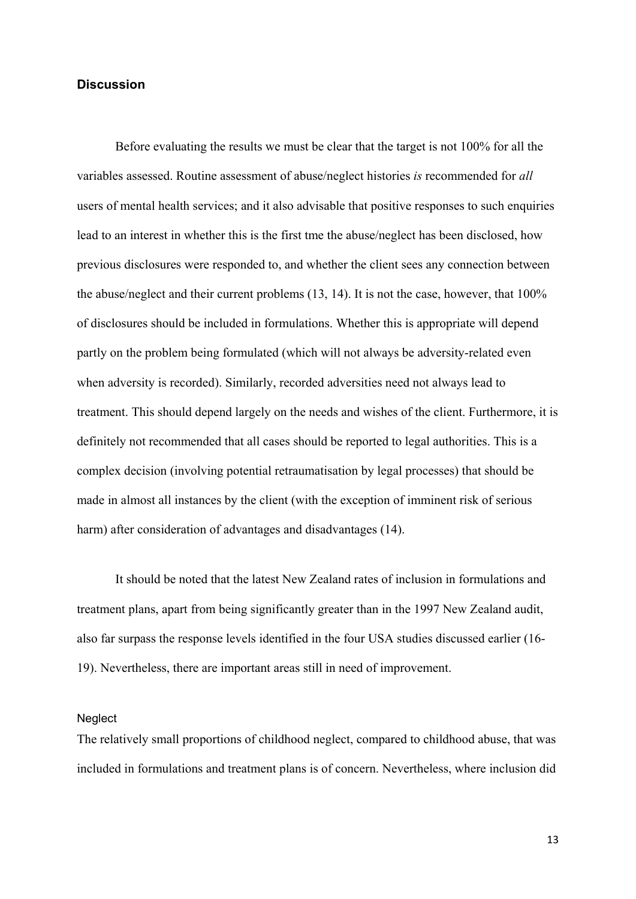# **Discussion**

Before evaluating the results we must be clear that the target is not 100% for all the variables assessed. Routine assessment of abuse/neglect histories *is* recommended for *all* users of mental health services; and it also advisable that positive responses to such enquiries lead to an interest in whether this is the first tme the abuse/neglect has been disclosed, how previous disclosures were responded to, and whether the client sees any connection between the abuse/neglect and their current problems (13, 14). It is not the case, however, that 100% of disclosures should be included in formulations. Whether this is appropriate will depend partly on the problem being formulated (which will not always be adversity-related even when adversity is recorded). Similarly, recorded adversities need not always lead to treatment. This should depend largely on the needs and wishes of the client. Furthermore, it is definitely not recommended that all cases should be reported to legal authorities. This is a complex decision (involving potential retraumatisation by legal processes) that should be made in almost all instances by the client (with the exception of imminent risk of serious harm) after consideration of advantages and disadvantages (14).

It should be noted that the latest New Zealand rates of inclusion in formulations and treatment plans, apart from being significantly greater than in the 1997 New Zealand audit, also far surpass the response levels identified in the four USA studies discussed earlier (16- 19). Nevertheless, there are important areas still in need of improvement.

# **Neglect**

The relatively small proportions of childhood neglect, compared to childhood abuse, that was included in formulations and treatment plans is of concern. Nevertheless, where inclusion did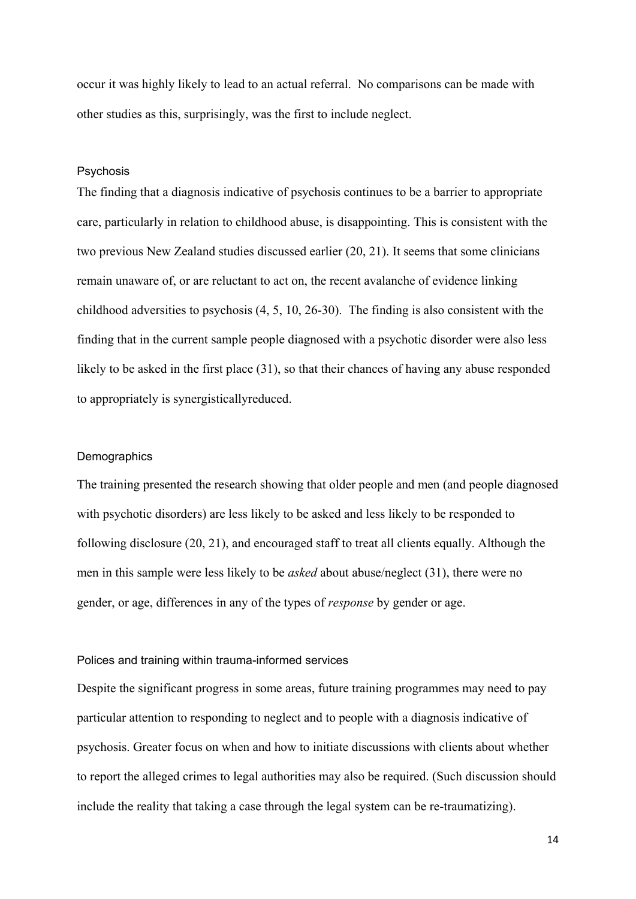occur it was highly likely to lead to an actual referral. No comparisons can be made with other studies as this, surprisingly, was the first to include neglect.

## Psychosis

The finding that a diagnosis indicative of psychosis continues to be a barrier to appropriate care, particularly in relation to childhood abuse, is disappointing. This is consistent with the two previous New Zealand studies discussed earlier (20, 21). It seems that some clinicians remain unaware of, or are reluctant to act on, the recent avalanche of evidence linking childhood adversities to psychosis (4, 5, 10, 26-30). The finding is also consistent with the finding that in the current sample people diagnosed with a psychotic disorder were also less likely to be asked in the first place (31), so that their chances of having any abuse responded to appropriately is synergisticallyreduced.

#### **Demographics**

The training presented the research showing that older people and men (and people diagnosed with psychotic disorders) are less likely to be asked and less likely to be responded to following disclosure (20, 21), and encouraged staff to treat all clients equally. Although the men in this sample were less likely to be *asked* about abuse/neglect (31), there were no gender, or age, differences in any of the types of *response* by gender or age.

# Polices and training within trauma-informed services

Despite the significant progress in some areas, future training programmes may need to pay particular attention to responding to neglect and to people with a diagnosis indicative of psychosis. Greater focus on when and how to initiate discussions with clients about whether to report the alleged crimes to legal authorities may also be required. (Such discussion should include the reality that taking a case through the legal system can be re-traumatizing).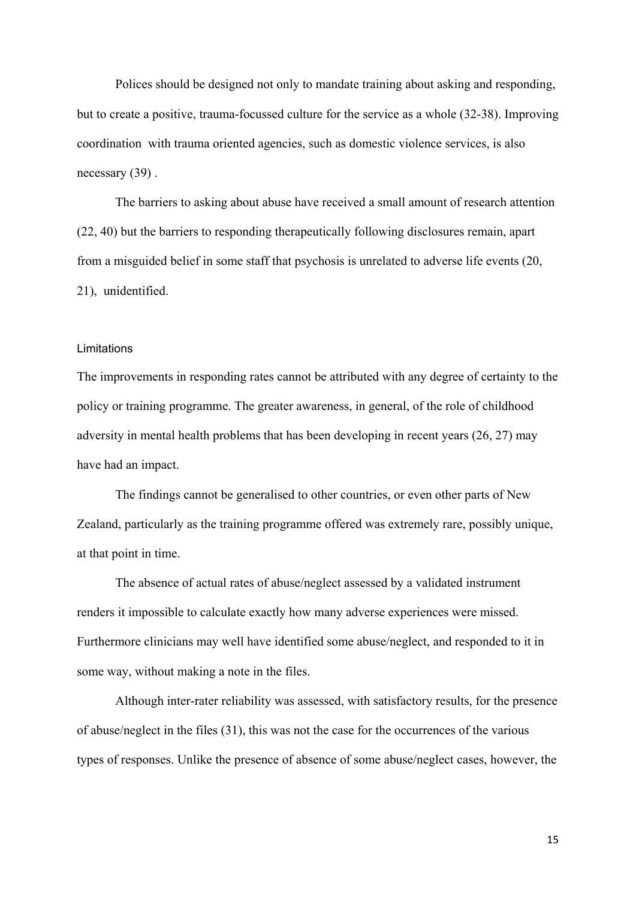Polices should be designed not only to mandate training about asking and responding, but to create a positive, trauma-focussed culture for the service as a whole (32-38). Improving coordination with trauma oriented agencies, such as domestic violence services, is also necessary (39) .

The barriers to asking about abuse have received a small amount of research attention (22, 40) but the barriers to responding therapeutically following disclosures remain, apart from a misguided belief in some staff that psychosis is unrelated to adverse life events (20, 21), unidentified.

# Limitations

The improvements in responding rates cannot be attributed with any degree of certainty to the policy or training programme. The greater awareness, in general, of the role of childhood adversity in mental health problems that has been developing in recent years (26, 27) may have had an impact.

The findings cannot be generalised to other countries, or even other parts of New Zealand, particularly as the training programme offered was extremely rare, possibly unique, at that point in time.

The absence of actual rates of abuse/neglect assessed by a validated instrument renders it impossible to calculate exactly how many adverse experiences were missed. Furthermore clinicians may well have identified some abuse/neglect, and responded to it in some way, without making a note in the files.

Although inter-rater reliability was assessed, with satisfactory results, for the presence of abuse/neglect in the files (31), this was not the case for the occurrences of the various types of responses. Unlike the presence of absence of some abuse/neglect cases, however, the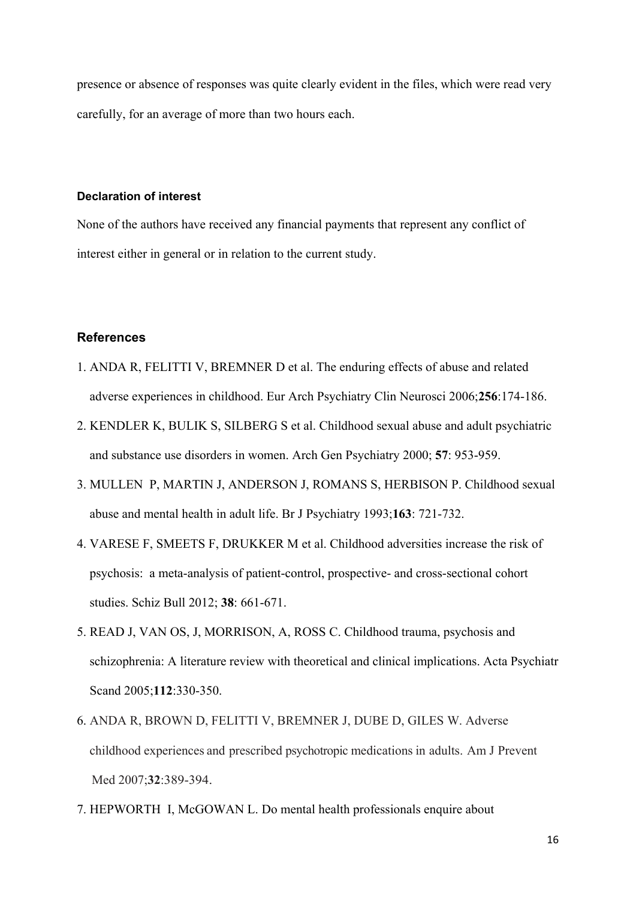presence or absence of responses was quite clearly evident in the files, which were read very carefully, for an average of more than two hours each.

# **Declaration of interest**

None of the authors have received any financial payments that represent any conflict of interest either in general or in relation to the current study.

# **References**

- 1. ANDA R, FELITTI V, BREMNER D et al. The enduring effects of abuse and related adverse experiences in childhood. Eur Arch Psychiatry Clin Neurosci 2006;**256**:174-186.
- 2. KENDLER K, BULIK S, SILBERG S et al. Childhood sexual abuse and adult psychiatric and substance use disorders in women. Arch Gen Psychiatry 2000; **57**: 953-959.
- 3. MULLEN P, MARTIN J, ANDERSON J, ROMANS S, HERBISON P. Childhood sexual abuse and mental health in adult life. Br J Psychiatry 1993;**163**: 721-732.
- 4. VARESE F, SMEETS F, DRUKKER M et al. Childhood adversities increase the risk of psychosis: a meta-analysis of patient-control, prospective- and cross-sectional cohort studies. Schiz Bull 2012; **38**: 661-671.
- 5. READ J, VAN OS, J, MORRISON, A, ROSS C. Childhood trauma, psychosis and schizophrenia: A literature review with theoretical and clinical implications. Acta Psychiatr Scand 2005;**112**:330-350.
- 6. ANDA R, BROWN D, FELITTI V, BREMNER J, DUBE D, GILES W. Adverse childhood experiences and prescribed psychotropic medications in adults. Am J Prevent Med 2007;**32**:389-394.
- 7. HEPWORTH I, McGOWAN L. Do mental health professionals enquire about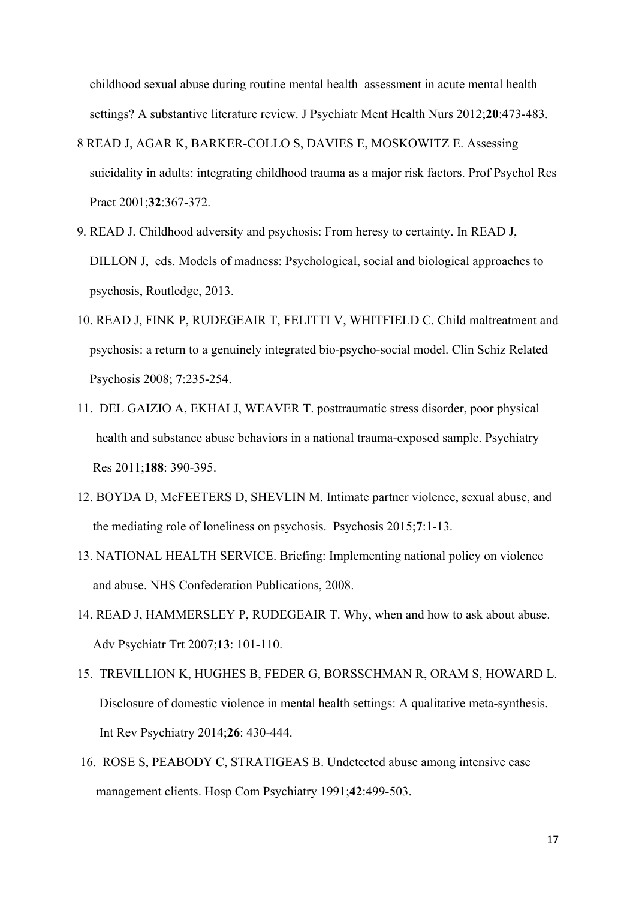childhood sexual abuse during routine mental health assessment in acute mental health settings? A substantive literature review. J Psychiatr Ment Health Nurs 2012;**20**:473-483.

- 8 READ J, AGAR K, BARKER-COLLO S, DAVIES E, MOSKOWITZ E. Assessing suicidality in adults: integrating childhood trauma as a major risk factors. Prof Psychol Res Pract 2001;**32**:367-372.
- 9. READ J. Childhood adversity and psychosis: From heresy to certainty. In READ J, DILLON J, eds. Models of madness: Psychological, social and biological approaches to psychosis, Routledge, 2013.
- 10. READ J, FINK P, RUDEGEAIR T, FELITTI V, WHITFIELD C. Child maltreatment and psychosis: a return to a genuinely integrated bio-psycho-social model. Clin Schiz Related Psychosis 2008; **7**:235-254.
- 11. DEL GAIZIO A, EKHAI J, WEAVER T. posttraumatic stress disorder, poor physical health and substance abuse behaviors in a national trauma-exposed sample. Psychiatry Res 2011;**188**: 390-395.
- 12. BOYDA D, McFEETERS D, SHEVLIN M. Intimate partner violence, sexual abuse, and the mediating role of loneliness on psychosis. Psychosis 2015;**7**:1-13.
- 13. NATIONAL HEALTH SERVICE. Briefing: Implementing national policy on violence and abuse. NHS Confederation Publications, 2008.
- 14. READ J, HAMMERSLEY P, RUDEGEAIR T. Why, when and how to ask about abuse. Adv Psychiatr Trt 2007;**13**: 101-110.
- 15. TREVILLION K, HUGHES B, FEDER G, BORSSCHMAN R, ORAM S, HOWARD L. Disclosure of domestic violence in mental health settings: A qualitative meta-synthesis. Int Rev Psychiatry 2014;**26**: 430-444.
- 16. ROSE S, PEABODY C, STRATIGEAS B. Undetected abuse among intensive case management clients. Hosp Com Psychiatry 1991;**42**:499-503.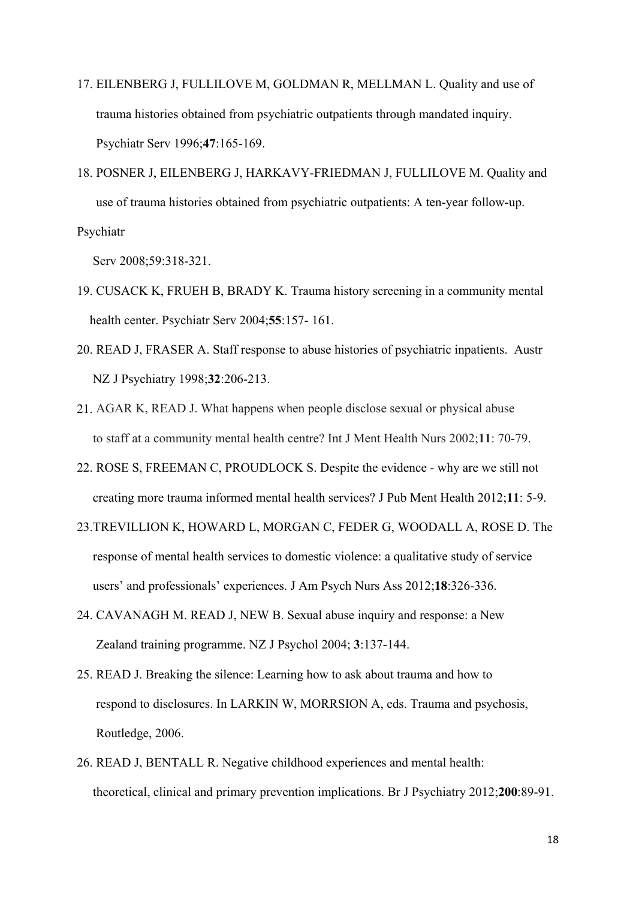- 17. EILENBERG J, FULLILOVE M, GOLDMAN R, MELLMAN L. Quality and use of trauma histories obtained from psychiatric outpatients through mandated inquiry. Psychiatr Serv 1996;**47**:165-169.
- 18. POSNER J, EILENBERG J, HARKAVY-FRIEDMAN J, FULLILOVE M. Quality and use of trauma histories obtained from psychiatric outpatients: A ten-year follow-up. Psychiatr

Serv 2008;59:318-321.

- 19. CUSACK K, FRUEH B, BRADY K. Trauma history screening in a community mental health center. Psychiatr Serv 2004;**55**:157- 161.
- 20. READ J, FRASER A. Staff response to abuse histories of psychiatric inpatients. Austr NZ J Psychiatry 1998;**32**:206-213.
- 21. AGAR K, READ J. What happens when people disclose sexual or physical abuse to staff at a community mental health centre? Int J Ment Health Nurs 2002;**11**: 70-79.
- 22. ROSE S, FREEMAN C, PROUDLOCK S. Despite the evidence why are we still not creating more trauma informed mental health services? J Pub Ment Health 2012;**11**: 5-9.
- 23.TREVILLION K, HOWARD L, MORGAN C, FEDER G, WOODALL A, ROSE D. The response of mental health services to domestic violence: a qualitative study of service users' and professionals' experiences. J Am Psych Nurs Ass 2012;**18**:326-336.
- 24. CAVANAGH M. READ J, NEW B. Sexual abuse inquiry and response: a New Zealand training programme. NZ J Psychol 2004; **3**:137-144.
- 25. READ J. Breaking the silence: Learning how to ask about trauma and how to respond to disclosures. In LARKIN W, MORRSION A, eds. Trauma and psychosis, Routledge, 2006.
- 26. READ J, BENTALL R. Negative childhood experiences and mental health: theoretical, clinical and primary prevention implications. Br J Psychiatry 2012;**200**:89-91.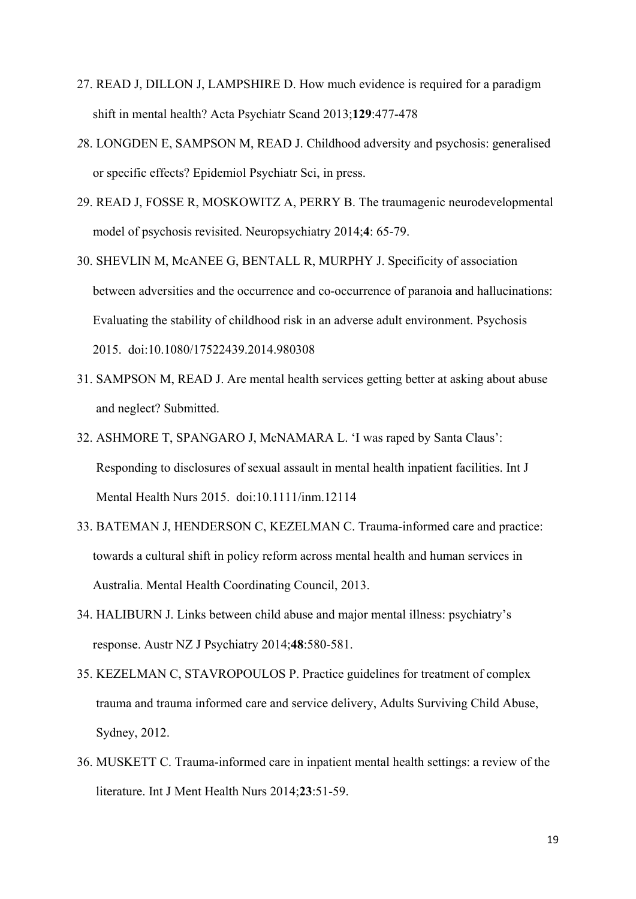- 27. READ J, DILLON J, LAMPSHIRE D. How much evidence is required for a paradigm shift in mental health? Acta Psychiatr Scand 2013;**129**:477-478
- *2*8. LONGDEN E, SAMPSON M, READ J. Childhood adversity and psychosis: generalised or specific effects? Epidemiol Psychiatr Sci, in press.
- 29. READ J, FOSSE R, MOSKOWITZ A, PERRY B. The traumagenic neurodevelopmental model of psychosis revisited. Neuropsychiatry 2014;**4**: 65-79.
- 30. SHEVLIN M, McANEE G, BENTALL R, MURPHY J. Specificity of association between adversities and the occurrence and co-occurrence of paranoia and hallucinations: Evaluating the stability of childhood risk in an adverse adult environment. Psychosis 2015. doi:10.1080/17522439.2014.980308
- 31. SAMPSON M, READ J. Are mental health services getting better at asking about abuse and neglect? Submitted.
- 32. ASHMORE T, SPANGARO J, McNAMARA L. 'I was raped by Santa Claus': Responding to disclosures of sexual assault in mental health inpatient facilities. Int J Mental Health Nurs 2015. doi:10.1111/inm.12114
- 33. BATEMAN J, HENDERSON C, KEZELMAN C. Trauma-informed care and practice: towards a cultural shift in policy reform across mental health and human services in Australia. Mental Health Coordinating Council, 2013.
- 34. HALIBURN J. Links between child abuse and major mental illness: psychiatry's response. Austr NZ J Psychiatry 2014;**48**:580-581.
- 35. KEZELMAN C, STAVROPOULOS P. Practice guidelines for treatment of complex trauma and trauma informed care and service delivery, Adults Surviving Child Abuse, Sydney, 2012.
- 36. MUSKETT C. Trauma-informed care in inpatient mental health settings: a review of the literature. Int J Ment Health Nurs 2014;**23**:51-59.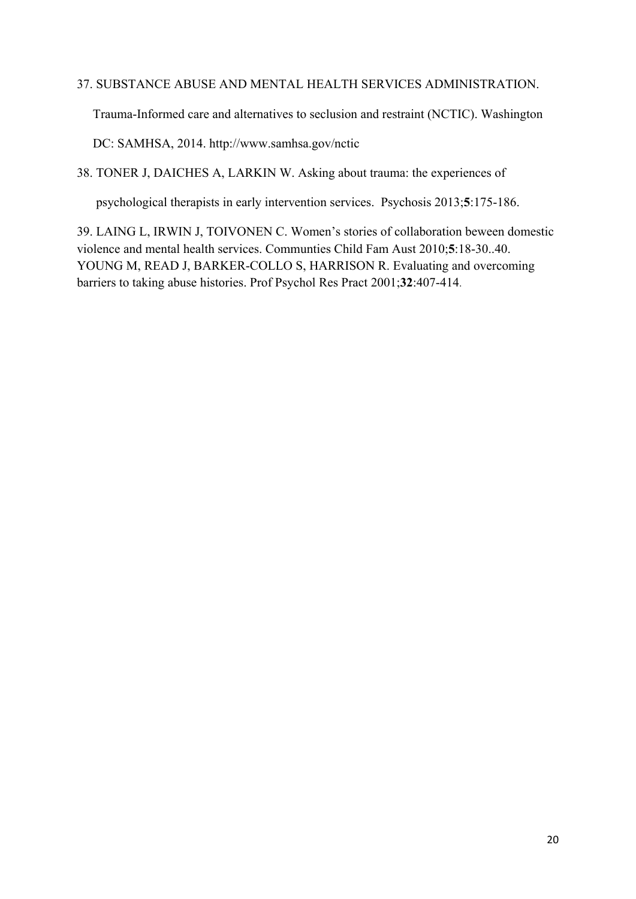# 37. SUBSTANCE ABUSE AND MENTAL HEALTH SERVICES ADMINISTRATION.

Trauma-Informed care and alternatives to seclusion and restraint (NCTIC). Washington

DC: SAMHSA, 2014. http://www.samhsa.gov/nctic

38. TONER J, DAICHES A, LARKIN W. Asking about trauma: the experiences of

psychological therapists in early intervention services. Psychosis 2013;**5**:175-186.

39. LAING L, IRWIN J, TOIVONEN C. Women's stories of collaboration beween domestic violence and mental health services. Communties Child Fam Aust 2010;**5**:18-30..40. YOUNG M, READ J, BARKER-COLLO S, HARRISON R. Evaluating and overcoming barriers to taking abuse histories. Prof Psychol Res Pract 2001;**32**:407-414.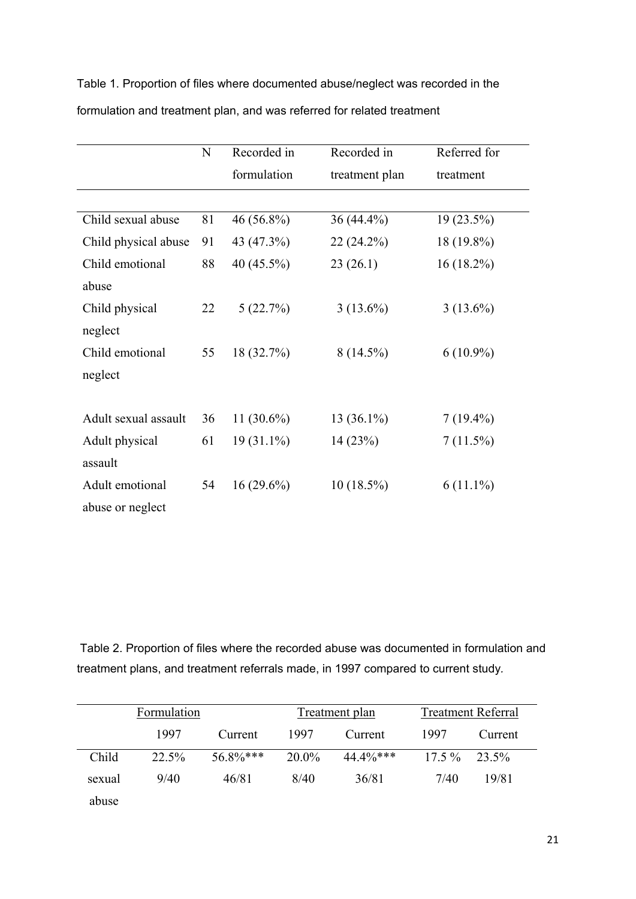Table 1. Proportion of files where documented abuse/neglect was recorded in the formulation and treatment plan, and was referred for related treatment

|                      | $\mathbf N$ | Recorded in  | Recorded in    | Referred for |  |
|----------------------|-------------|--------------|----------------|--------------|--|
|                      |             | formulation  | treatment plan | treatment    |  |
|                      |             |              |                |              |  |
| Child sexual abuse   | 81          | 46 (56.8%)   | 36 (44.4%)     | 19 (23.5%)   |  |
| Child physical abuse | 91          | 43 (47.3%)   | $22(24.2\%)$   | 18 (19.8%)   |  |
| Child emotional      | 88          | 40 (45.5%)   | 23(26.1)       | $16(18.2\%)$ |  |
| abuse                |             |              |                |              |  |
| Child physical       | 22          | 5(22.7%)     | $3(13.6\%)$    | $3(13.6\%)$  |  |
| neglect              |             |              |                |              |  |
| Child emotional      | 55          | 18 (32.7%)   | $8(14.5\%)$    | $6(10.9\%)$  |  |
| neglect              |             |              |                |              |  |
|                      |             |              |                |              |  |
| Adult sexual assault | 36          | $11(30.6\%)$ | 13 (36.1%)     | $7(19.4\%)$  |  |
| Adult physical       | 61          | $19(31.1\%)$ | 14(23%)        | 7(11.5%)     |  |
| assault              |             |              |                |              |  |
| Adult emotional      | 54          | $16(29.6\%)$ | $10(18.5\%)$   | $6(11.1\%)$  |  |
| abuse or neglect     |             |              |                |              |  |

 Table 2. Proportion of files where the recorded abuse was documented in formulation and treatment plans, and treatment referrals made, in 1997 compared to current study*.* 

|        | Formulation |             |          | Treatment plan | <b>Treatment Referral</b> |         |
|--------|-------------|-------------|----------|----------------|---------------------------|---------|
|        | 1997        | Current     | 1997     | Current        | 1997                      | Current |
| Child  | $22.5\%$    | $56.8\%***$ | $20.0\%$ | $44.4\%***$    | $17.5\%$                  | 23.5%   |
| sexual | 9/40        | 46/81       | 8/40     | 36/81          | 7/40                      | 19/81   |
| abuse  |             |             |          |                |                           |         |